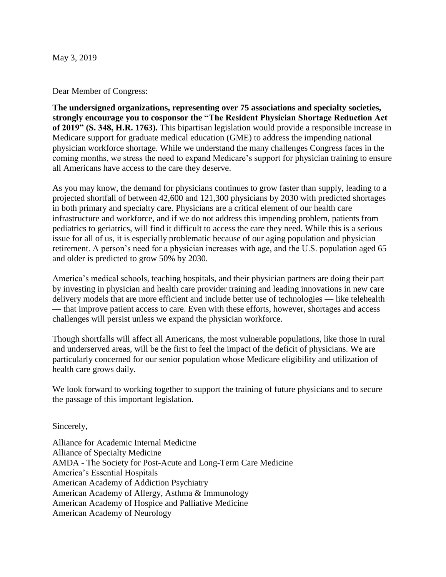May 3, 2019

Dear Member of Congress:

**The undersigned organizations, representing over 75 associations and specialty societies, strongly encourage you to cosponsor the "The Resident Physician Shortage Reduction Act of 2019" (S. 348, H.R. 1763).** This bipartisan legislation would provide a responsible increase in Medicare support for graduate medical education (GME) to address the impending national physician workforce shortage. While we understand the many challenges Congress faces in the coming months, we stress the need to expand Medicare's support for physician training to ensure all Americans have access to the care they deserve.

As you may know, the demand for physicians continues to grow faster than supply, leading to a projected shortfall of between 42,600 and 121,300 physicians by 2030 with predicted shortages in both primary and specialty care. Physicians are a critical element of our health care infrastructure and workforce, and if we do not address this impending problem, patients from pediatrics to geriatrics, will find it difficult to access the care they need. While this is a serious issue for all of us, it is especially problematic because of our aging population and physician retirement. A person's need for a physician increases with age, and the U.S. population aged 65 and older is predicted to grow 50% by 2030.

America's medical schools, teaching hospitals, and their physician partners are doing their part by investing in physician and health care provider training and leading innovations in new care delivery models that are more efficient and include better use of technologies — like telehealth — that improve patient access to care. Even with these efforts, however, shortages and access challenges will persist unless we expand the physician workforce.

Though shortfalls will affect all Americans, the most vulnerable populations, like those in rural and underserved areas, will be the first to feel the impact of the deficit of physicians. We are particularly concerned for our senior population whose Medicare eligibility and utilization of health care grows daily.

We look forward to working together to support the training of future physicians and to secure the passage of this important legislation.

Sincerely,

Alliance for Academic Internal Medicine Alliance of Specialty Medicine AMDA - The Society for Post-Acute and Long-Term Care Medicine America's Essential Hospitals American Academy of Addiction Psychiatry American Academy of Allergy, Asthma & Immunology American Academy of Hospice and Palliative Medicine American Academy of Neurology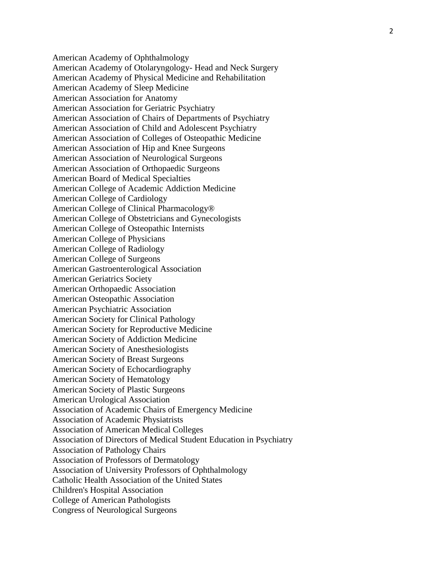American Academy of Ophthalmology American Academy of Otolaryngology - Head and Neck Surgery American Academy of Physical Medicine and Rehabilitation American Academy of Sleep Medicine American Association for Anatomy American Association for Geriatric Psychiatry American Association of Chairs of Departments of Psychiatry American Association of Child and Adolescent Psychiatry American Association of Colleges of Osteopathic Medicine American Association of Hip and Knee Surgeons American Association of Neurological Surgeons American Association of Orthopaedic Surgeons American Board of Medical Specialties American College of Academic Addiction Medicine American College of Cardiology American College of Clinical Pharmacology® American College of Obstetricians and Gynecologists American College of Osteopathic Internists American College of Physicians American College of Radiology American College of Surgeons American Gastroenterological Association American Geriatrics Society American Orthopaedic Association American Osteopathic Association American Psychiatric Association American Society for Clinical Pathology American Society for Reproductive Medicine American Society of Addiction Medicine American Society of Anesthesiologists American Society of Breast Surgeons American Society of Echocardiography American Society of Hematology American Society of Plastic Surgeons American Urological Association Association of Academic Chairs of Emergency Medicine Association of Academic Physiatrists Association of American Medical Colleges Association of Directors of Medical Student Education in Psychiatry Association of Pathology Chairs Association of Professors of Dermatology Association of University Professors of Ophthalmology Catholic Health Association of the United States Children's Hospital Association College of American Pathologists Congress of Neurological Surgeons